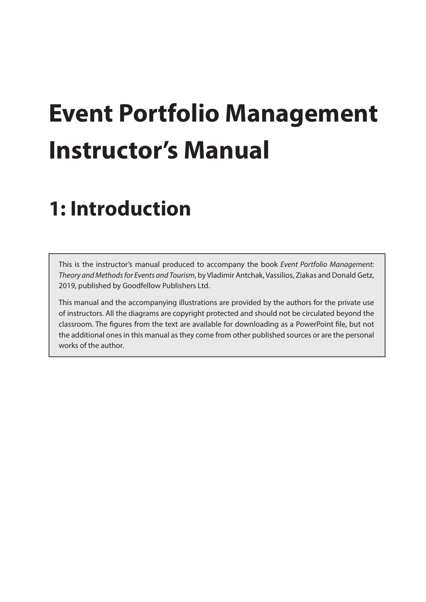## **Event Portfolio Management Instructor's Manual**

## **1: Introduction**

This is the instructor's manual produced to accompany the book *Event Portfolio Management: Theory and Methods for Events and Tourism*, by Vladimir Antchak, Vassilios, Ziakas and Donald Getz, 2019, published by Goodfellow Publishers Ltd.

This manual and the accompanying illustrations are provided by the authors for the private use of instructors. All the diagrams are copyright protected and should not be circulated beyond the classroom. The figures from the text are available for downloading as a PowerPoint file, but not the additional ones in this manual as they come from other published sources or are the personal works of the author.